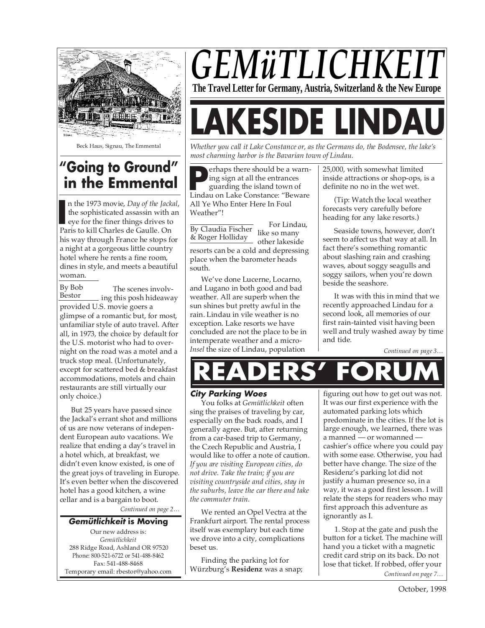

Beck Haus, Signau, The Emmental

# **"Going to Ground" in the Emmental**

In the 1973 movie, *Day of the Jack* the sophisticated assassin with eye for the finer things drives to Paris to kill Charles de Gaulle. On n the 1973 movie, *Day of the Jackal*, the sophisticated assassin with an eye for the finer things drives to his way through France he stops for a night at a gorgeous little country hotel where he rents a fine room, dines in style, and meets a beautiful woman.

By Bob Bestor The scenes involving this posh hideaway provided U.S. movie goers a glimpse of a romantic but, for most, unfamiliar style of auto travel. After all, in 1973, the choice by default for the U.S. motorist who had to overnight on the road was a motel and a truck stop meal. (Unfortunately, except for scattered bed & breakfast accommodations, motels and chain restaurants are still virtually our only choice.)

But 25 years have passed since the Jackal's errant shot and millions of us are now veterans of independent European auto vacations. We realize that ending a day's travel in a hotel which, at breakfast, we didn't even know existed, is one of the great joys of traveling in Europe. It's even better when the discovered hotel has a good kitchen, a wine cellar and is a bargain to boot.

*Continued on page 2…*

#### **Gemütlichkeit is Moving**

Our new address is: *Gemütlichkeit* 288 Ridge Road, Ashland OR 97520 Phone: 800-521-6722 or 541-488-8462 Fax: 541-488-8468 Temporary email: rbestor@yahoo.com

# *GEMüTLICHKE* **The Travel Letter for Germany, Austria, Switzerland & the New Europe**

# **(ESIDE LII**

*Whether you call it Lake Constance or, as the Germans do, the Bodensee, the lake's most charming harbor is the Bavarian town of Lindau.*

**P** erhaps there should be a warning sign at all the entrances guarding the island town of Lindau on Lake Constance: "Beware erhaps there should be a warning sign at all the entrances guarding the island town of All Ye Who Enter Here In Foul Weather"!

## By Claudia Fischer<br>& Roger Holliday like so many & Roger Holliday

For Lindau, other lakeside

resorts can be a cold and depressing place when the barometer heads south.

We've done Lucerne, Locarno, and Lugano in both good and bad weather. All are superb when the sun shines but pretty awful in the rain. Lindau in vile weather is no exception. Lake resorts we have concluded are not the place to be in intemperate weather and a micro-*Insel* the size of Lindau, population

25,000, with somewhat limited inside attractions or shop-ops, is a definite no no in the wet wet.

(Tip: Watch the local weather forecasts very carefully before heading for any lake resorts.)

Seaside towns, however, don't seem to affect us that way at all. In fact there's something romantic about slashing rain and crashing waves, about soggy seagulls and soggy sailors, when you're down beside the seashore.

It was with this in mind that we recently approached Lindau for a second look, all memories of our first rain-tainted visit having been well and truly washed away by time and tide.

*Continued on page 3…*

# **READERS' FORUM**

# **City Parking Woes**

You folks at *Gemütlichkeit* often sing the praises of traveling by car, especially on the back roads, and I generally agree. But, after returning from a car-based trip to Germany, the Czech Republic and Austria, I would like to offer a note of caution. *If you are visiting European cities, do not drive. Take the train; if you are visiting countryside and cities, stay in the suburbs, leave the car there and take the commuter train.*

We rented an Opel Vectra at the Frankfurt airport. The rental process itself was exemplary but each time we drove into a city, complications beset us.

Finding the parking lot for Würzburg's **Residenz** was a snap; figuring out how to get out was not. It was our first experience with the automated parking lots which predominate in the cities. If the lot is large enough, we learned, there was a manned — or womanned cashier's office where you could pay with some ease. Otherwise, you had better have change. The size of the Residenz's parking lot did not justify a human presence so, in a way, it was a good first lesson. I will relate the steps for readers who may first approach this adventure as ignorantly as I.

*Continued on page 7…* 1. Stop at the gate and push the button for a ticket. The machine will hand you a ticket with a magnetic credit card strip on its back. Do not lose that ticket. If robbed, offer your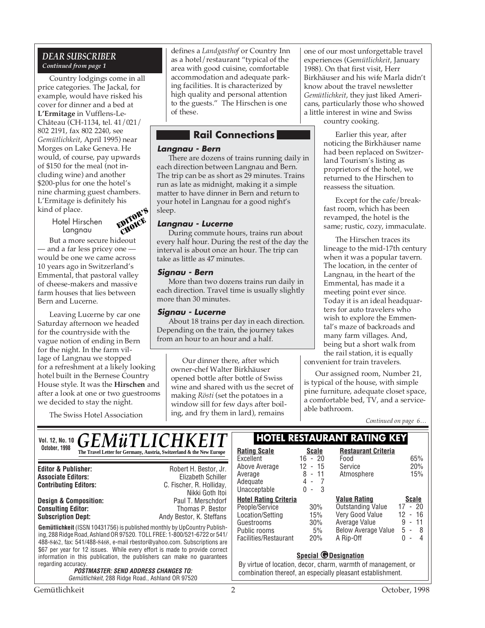# *DEAR SUBSCRIBER Continued from page 1*

Country lodgings come in all price categories. The Jackal, for example, would have risked his cover for dinner and a bed at **L'Ermitage** in Vufflens-Le-Château (CH-1134, tel. 41/021/ 802 2191, fax 802 2240, see *Gemütlichkeit*, April 1995) near Morges on Lake Geneva. He would, of course, pay upwards of \$150 for the meal (not including wine) and another \$200-plus for one the hotel's nine charming guest chambers. L'Ermitage is definitely his kind of place.

> Hotel Hirschen Langnau



But a more secure hideout — and a far less pricey one would be one we came across 10 years ago in Switzerland's Emmental, that pastoral valley of cheese-makers and massive farm houses that lies between Bern and Lucerne.

Leaving Lucerne by car one Saturday afternoon we headed for the countryside with the vague notion of ending in Bern for the night. In the farm village of Langnau we stopped for a refreshment at a likely looking hotel built in the Bernese Country House style. It was the **Hirschen** and after a look at one or two guestrooms we decided to stay the night.

The Swiss Hotel Association

defines a *Landgasthof* or Country Inn as a hotel/restaurant "typical of the area with good cuisine, comfortable accommodation and adequate parking facilities. It is characterized by high quality and personal attention to the guests." The Hirschen is one of these.

# **Rail Connections**

#### **Langnau - Bern**

There are dozens of trains running daily in each direction between Langnau and Bern. The trip can be as short as 29 minutes. Trains run as late as midnight, making it a simple matter to have dinner in Bern and return to your hotel in Langnau for a good night's sleep.

# **Langnau - Lucerne**

During commute hours, trains run about every half hour. During the rest of the day the interval is about once an hour. The trip can take as little as 47 minutes.

# **Signau - Bern**

More than two dozens trains run daily in each direction. Travel time is usually slightly more than 30 minutes.

# **Signau - Lucerne**

About 18 trains per day in each direction. Depending on the train, the journey takes from an hour to an hour and a half.

Our dinner there, after which owner-chef Walter Birkhäuser opened bottle after bottle of Swiss wine and shared with us the secret of making *Rösti* (set the potatoes in a window sill for few days after boiling, and fry them in lard), remains

one of our most unforgettable travel experiences (Ge*mütlichkeit*, January 1988). On that first visit, Herr Birkhäuser and his wife Marla didn't know about the travel newsletter *Gemütlichkeit*, they just liked Americans, particularly those who showed a little interest in wine and Swiss

country cooking.

Earlier this year, after noticing the Birkhäuser name had been replaced on Switzerland Tourism's listing as proprietors of the hotel, we returned to the Hirschen to reassess the situation.

Except for the cafe/breakfast room, which has been revamped, the hotel is the same; rustic, cozy, immaculate.

The Hirschen traces its lineage to the mid-17th century when it was a popular tavern. The location, in the center of Langnau, in the heart of the Emmental, has made it a meeting point ever since. Today it is an ideal headquarters for auto travelers who wish to explore the Emmental's maze of backroads and many farm villages. And, being but a short walk from the rail station, it is equally

convenient for train travelers.

Our assigned room, Number 21, is typical of the house, with simple pine furniture, adequate closet space, a comfortable bed, TV, and a serviceable bathroom.

*Continued on page 6…*

**Gemütlichkeit** (ISSN 10431756) is published monthly by UpCountry Publishing, 288 Ridge Road, Ashland OR 97520. TOLL FREE: 1-800/521-6722 or 541/ 488-8462, fax: 541/488-8468, e-mail rbestor@yahoo.com. Subscriptions are \$67 per year for 12 issues. While every effort is made to provide correct information in this publication, the publishers can make no guarantees regarding accuracy. **POSTMASTER: SEND ADDRESS CHANGES TO:** Gemütlichkeit, 288 Ridge Road., Ashland OR 97520 **Editor & Publisher:** Robert H. Bestor, Jr. **Associate Editors:** Elizabeth Schiller **Contributing Editors:** C. Fischer, R. Holliday, Nikki Goth Itoi<br>Paul T. Merschdorf **Design & Composition:** Paul T. Merschdorf<br> **Consulting Editor:** Paul Thomas P. Bestor **Consulting Editor: Subscription Dept:** Andy Bestor, K. Steffans Vol. 12. No. 10 **C F M ii T I I C H K F I T** | HOTEL RESTAURANT RATING KEY **October, 1998 Rating Scale**<br> **The Travel Letter for Germany, Austria, Switzerland & the New Europe Rating Scale Scale** Excellent 16 - 20<br>Above Average 12 - 15 Above Average Average 8 - 11<br>Adequate 4 - 7 Adequate 4 - 7<br>Unacceptable 0 - 3 Unacceptable **Hotel Rating Criteria** People/Service 30%<br>Location/Setting 15% Location/Setting 15% Guestrooms 30%<br>Public rooms 5% Public rooms 5%<br>Facilities/Restaurant 20% Facilities/Restaurant **Restaurant Criteria** Food 65%<br>Service 20% Service 20%<br>Atmosphere 15% Atmosphere **<u>Value Rating</u>**<br>
Outstanding Value 17 - 20 Outstanding Value 17 - 20<br>Very Good Value 12 - 16 Very Good Value 12 - 16 Average Value 9 - 11<br>Below Average Value 5 - 8 Below Average Value 5 -<br>A Rip-Off 0 -A Rip-Off 0 - 4 *GEMüTLICHKEIT*  $\mathbb{L}$ **Special @Designation** By virtue of location, decor, charm, warmth of management, or combination thereof, an especially pleasant establishment.

Gemütlichkeit 2 October, 1998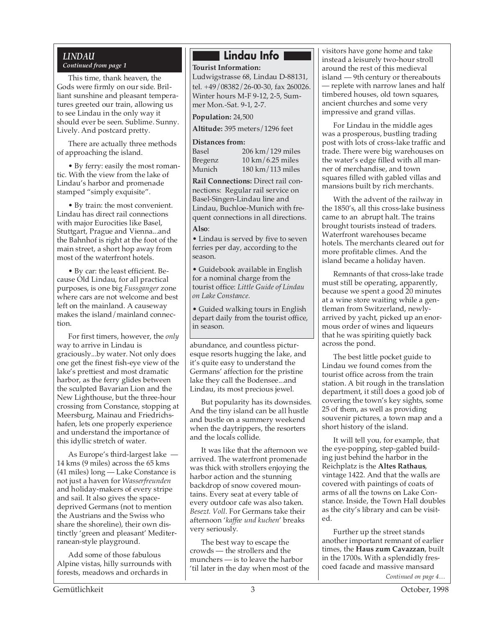# *LINDAU Continued from page 1*

This time, thank heaven, the Gods were firmly on our side. Brilliant sunshine and pleasant temperatures greeted our train, allowing us to see Lindau in the only way it should ever be seen. Sublime. Sunny. Lively. And postcard pretty.

There are actually three methods of approaching the island.

• By ferry: easily the most romantic. With the view from the lake of Lindau's harbor and promenade stamped "simply exquisite".

• By train: the most convenient. Lindau has direct rail connections with major Eurocities like Basel, Stuttgart, Prague and Vienna...and the Bahnhof is right at the foot of the main street, a short hop away from most of the waterfront hotels.

• By car: the least efficient. Because Old Lindau, for all practical purposes, is one big *Fussganger* zone where cars are not welcome and best left on the mainland. A causeway makes the island/mainland connection.

For first timers, however, the *only* way to arrive in Lindau is graciously...by water. Not only does one get the finest fish-eye view of the lake's prettiest and most dramatic harbor, as the ferry glides between the sculpted Bavarian Lion and the New Lighthouse, but the three-hour crossing from Constance, stopping at Meersburg, Mainau and Friedrichshafen, lets one properly experience and understand the importance of this idyllic stretch of water.

As Europe's third-largest lake — 14 kms (9 miles) across the 65 kms (41 miles) long — Lake Constance is not just a haven for *Wasserfreunden* and holiday-makers of every stripe and sail. It also gives the spacedeprived Germans (not to mention the Austrians and the Swiss who share the shoreline), their own distinctly 'green and pleasant' Mediterranean-style playground.

Add some of those fabulous Alpine vistas, hilly surrounds with forests, meadows and orchards in

# **Lindau Info**

**Tourist Information:**

Ludwigstrasse 68, Lindau D-88131, tel. +49/08382/26-00-30, fax 260026. Winter hours M-F 9-12, 2-5, Summer Mon.-Sat. 9-1, 2-7.

**Population:** 24,500

**Altitude:** 395 meters/1296 feet

# **Distances from:**

Basel 206 km/129 miles Bregenz 10 km/6.25 miles Munich 180 km/113 miles

**Rail Connections:** Direct rail connections: Regular rail service on Basel-Singen-Lindau line and Lindau, Buchloe-Munich with frequent connections in all directions. **Also**:

• Lindau is served by five to seven ferries per day, according to the season.

• Guidebook available in English for a nominal charge from the tourist office: *Little Guide of Lindau on Lake Constance.*

• Guided walking tours in English depart daily from the tourist office, in season.

abundance, and countless picturesque resorts hugging the lake, and it's quite easy to understand the Germans' affection for the pristine lake they call the Bodensee...and Lindau, its most precious jewel.

But popularity has its downsides. And the tiny island can be all hustle and bustle on a summery weekend when the daytrippers, the resorters and the locals collide.

It was like that the afternoon we arrived. The waterfront promenade was thick with strollers enjoying the harbor action and the stunning backdrop of snow covered mountains. Every seat at every table of every outdoor cafe was also taken. *Besezt*. *Voll*. For Germans take their afternoon '*kaffee und kuchen*' breaks very seriously.

The best way to escape the crowds — the strollers and the munchers — is to leave the harbor 'til later in the day when most of the

visitors have gone home and take instead a leisurely two-hour stroll around the rest of this medieval island — 9th century or thereabouts — replete with narrow lanes and half timbered houses, old town squares, ancient churches and some very impressive and grand villas.

For Lindau in the middle ages was a prosperous, bustling trading post with lots of cross-lake traffic and trade. There were big warehouses on the water's edge filled with all manner of merchandise, and town squares filled with gabled villas and mansions built by rich merchants.

With the advent of the railway in the 1850's, all this cross-lake business came to an abrupt halt. The trains brought tourists instead of traders. Waterfront warehouses became hotels. The merchants cleared out for more profitable climes. And the island became a holiday haven.

Remnants of that cross-lake trade must still be operating, apparently, because we spent a good 20 minutes at a wine store waiting while a gentleman from Switzerland, newlyarrived by yacht, picked up an enormous order of wines and liqueurs that he was spiriting quietly back across the pond.

The best little pocket guide to Lindau we found comes from the tourist office across from the train station. A bit rough in the translation department, it still does a good job of covering the town's key sights, some 25 of them, as well as providing souvenir pictures, a town map and a short history of the island.

It will tell you, for example, that the eye-popping, step-gabled building just behind the harbor in the Reichplatz is the **Altes Rathaus**, vintage 1422. And that the walls are covered with paintings of coats of arms of all the towns on Lake Constance. Inside, the Town Hall doubles as the city's library and can be visited.

Further up the street stands another important remnant of earlier times, the **Haus zum Cavazzan**, built in the 1700s. With a splendidly frescoed facade and massive mansard

*Continued on page 4…*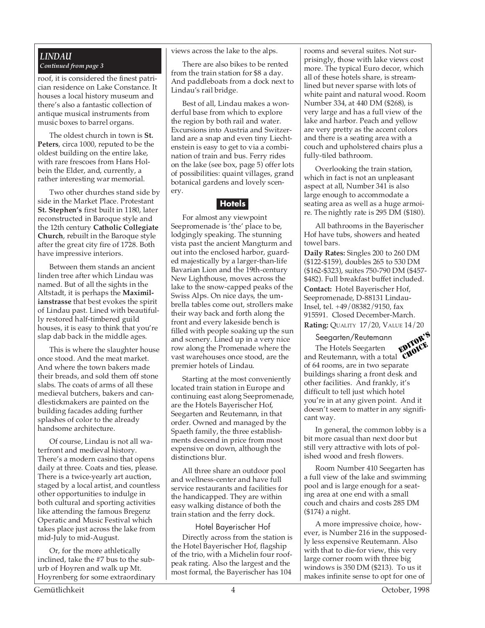# *LINDAU Continued from page 3*

roof, it is considered the finest patrician residence on Lake Constance. It houses a local history museum and there's also a fantastic collection of antique musical instruments from music boxes to barrel organs.

The oldest church in town is **St. Peters**, circa 1000, reputed to be the oldest building on the entire lake, with rare frescoes from Hans Holbein the Elder, and, currently, a rather interesting war memorial.

Two other churches stand side by side in the Market Place. Protestant **St. Stephen's** first built in 1180, later reconstructed in Baroque style and the 12th century **Catholic Collegiate Church**, rebuilt in the Baroque style after the great city fire of 1728. Both have impressive interiors.

Between them stands an ancient linden tree after which Lindau was named. But of all the sights in the Altstadt, it is perhaps the **Maximilianstrasse** that best evokes the spirit of Lindau past. Lined with beautifully restored half-timbered guild houses, it is easy to think that you're slap dab back in the middle ages.

This is where the slaughter house once stood. And the meat market. And where the town bakers made their breads, and sold them off stone slabs. The coats of arms of all these medieval butchers, bakers and candlestickmakers are painted on the building facades adding further splashes of color to the already handsome architecture.

Of course, Lindau is not all waterfront and medieval history. There's a modern casino that opens daily at three. Coats and ties, please. There is a twice-yearly art auction, staged by a local artist, and countless other opportunities to indulge in both cultural and sporting activities like attending the famous Bregenz Operatic and Music Festival which takes place just across the lake from mid-July to mid-August.

Or, for the more athletically inclined, take the #7 bus to the suburb of Hoyren and walk up Mt. Hoyrenberg for some extraordinary views across the lake to the alps.

There are also bikes to be rented from the train station for \$8 a day. And paddleboats from a dock next to Lindau's rail bridge.

Best of all, Lindau makes a wonderful base from which to explore the region by both rail and water. Excursions into Austria and Switzerland are a snap and even tiny Liechtenstein is easy to get to via a combination of train and bus. Ferry rides on the lake (see box, page 5) offer lots of possibilities: quaint villages, grand botanical gardens and lovely scenery.

# **Hotels**

For almost any viewpoint Seepromenade is 'the' place to be, lodgingly speaking. The stunning vista past the ancient Mangturm and out into the enclosed harbor, guarded majestically by a larger-than-life Bavarian Lion and the 19th-century New Lighthouse, moves across the lake to the snow-capped peaks of the Swiss Alps. On nice days, the umbrella tables come out, strollers make their way back and forth along the front and every lakeside bench is filled with people soaking up the sun and scenery. Lined up in a very nice row along the Promenade where the vast warehouses once stood, are the premier hotels of Lindau.

Starting at the most conveniently located train station in Europe and continuing east along Seepromenade, are the Hotels Bayerischer Hof, Seegarten and Reutemann, in that order. Owned and managed by the Spaeth family, the three establishments descend in price from most expensive on down, although the distinctions blur.

All three share an outdoor pool and wellness-center and have full service restaurants and facilities for the handicapped. They are within easy walking distance of both the train station and the ferry dock.

Hotel Bayerischer Hof Directly across from the station is the Hotel Bayerischer Hof, flagship of the trio, with a Michelin four roofpeak rating. Also the largest and the most formal, the Bayerischer has 104 rooms and several suites. Not surprisingly, those with lake views cost more. The typical Euro decor, which all of these hotels share, is streamlined but never sparse with lots of white paint and natural wood. Room Number 334, at 440 DM (\$268), is very large and has a full view of the lake and harbor. Peach and yellow are very pretty as the accent colors and there is a seating area with a couch and upholstered chairs plus a fully-tiled bathroom.

Overlooking the train station, which in fact is not an unpleasant aspect at all, Number 341 is also large enough to accommodate a seating area as well as a huge armoire. The nightly rate is 295 DM (\$180).

All bathrooms in the Bayerischer Hof have tubs, showers and heated towel bars.

**Daily Rates:** Singles 200 to 260 DM (\$122-\$159), doubles 265 to 530 DM (\$162-\$323), suites 750-790 DM (\$457- \$482). Full breakfast buffet included. **Contact:** Hotel Bayerischer Hof, Seepromenade, D-88131 Lindau-Insel, tel. +49/08382/9150, fax 915591. Closed December-March. **Rating: QUALITY 17/20, VALUE 14/20** 

Seegarten/Reutemann

The Hotels Seegarten and Reutemann, with a total of 64 rooms, are in two separate buildings sharing a front desk and other facilities. And frankly, it's difficult to tell just which hotel you're in at any given point. And it doesn't seem to matter in any significant way. EDITOR'S CHOICE

In general, the common lobby is a bit more casual than next door but still very attractive with lots of polished wood and fresh flowers.

Room Number 410 Seegarten has a full view of the lake and swimming pool and is large enough for a seating area at one end with a small couch and chairs and costs 285 DM (\$174) a night.

A more impressive choice, however, is Number 216 in the supposedly less expensive Reutemann. Also with that to die-for view, this very large corner room with three big windows is 350 DM (\$213). To us it makes infinite sense to opt for one of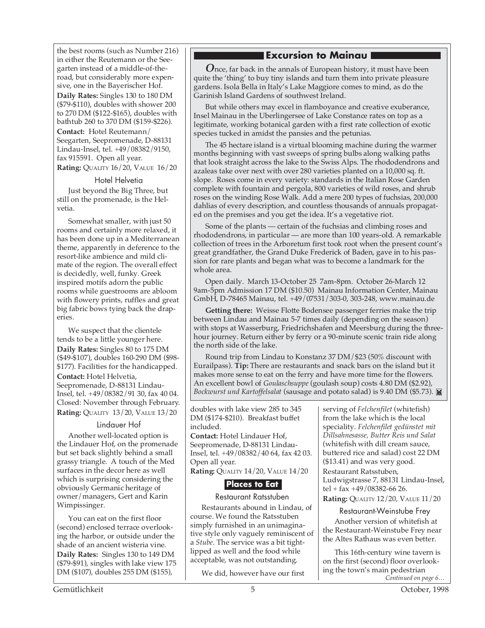the best rooms (such as Number 216) in either the Reutemann or the Seegarten instead of a middle-of-theroad, but considerably more expensive, one in the Bayerischer Hof.

**Daily Rates:** Singles 130 to 180 DM (\$79-\$110), doubles with shower 200 to 270 DM (\$122-\$165), doubles with bathtub 260 to 370 DM (\$159-\$226).

**Contact:** Hotel Reutemann/ Seegarten, Seepromenade, D-88131 Lindau-Insel, tel. +49/08382/9150, fax 915591. Open all year. **Rating:** QUALITY 16/20, VALUE 16/20

## Hotel Helvetia

Just beyond the Big Three, but still on the promenade, is the Helvetia.

Somewhat smaller, with just 50 rooms and certainly more relaxed, it has been done up in a Mediterranean theme, apparently in deference to the resort-like ambience and mild climate of the region. The overall effect is decidedly, well, funky. Greek inspired motifs adorn the public rooms while guestrooms are abloom with flowery prints, ruffles and great big fabric bows tying back the draperies.

We suspect that the clientele tends to be a little younger here. **Daily Rates:** Singles 80 to 175 DM (\$49-\$107), doubles 160-290 DM (\$98- \$177). Facilities for the handicapped. **Contact:** Hotel Helvetia, Seepromenade, D-88131 Lindau-Insel, tel. +49/08382/91 30, fax 40 04. Closed: November through February. **Rating:** QUALITY 13/20, VALUE 13/20

## Lindauer Hof

Another well-located option is the Lindauer Hof, on the promenade but set back slightly behind a small grassy triangle. A touch of the Med surfaces in the decor here as well which is surprising considering the obviously Germanic heritage of owner/managers, Gert and Karin Wimpissinger.

You can eat on the first floor (second) enclosed terrace overlooking the harbor, or outside under the shade of an ancient wisteria vine. **Daily Rates:** Singles 130 to 149 DM

(\$79-\$91), singles with lake view 175 DM (\$107), doubles 255 DM (\$155),

# **Excursion to Mainau**

*O*nce, far back in the annals of European history, it must have been quite the 'thing' to buy tiny islands and turn them into private pleasure gardens. Isola Bella in Italy's Lake Maggiore comes to mind, as do the Garinish Island Gardens of southwest Ireland.

But while others may excel in flamboyance and creative exuberance, Insel Mainau in the Uberlingersee of Lake Constance rates on top as a legitimate, working botanical garden with a first rate collection of exotic species tucked in amidst the pansies and the petunias.

The 45 hectare island is a virtual blooming machine during the warmer months beginning with vast sweeps of spring bulbs along walking paths that look straight across the lake to the Swiss Alps. The rhododendrons and azaleas take over next with over 280 varieties planted on a 10,000 sq. ft. slope. Roses come in every variety: standards in the Italian Rose Garden complete with fountain and pergola, 800 varieties of wild roses, and shrub roses on the winding Rose Walk. Add a mere 200 types of fuchsias, 200,000 dahlias of every description, and countless thousands of annuals propagated on the premises and you get the idea. It's a vegetative riot.

Some of the plants — certain of the fuchsias and climbing roses and rhododendrons, in particular — are more than 100 years-old. A remarkable collection of trees in the Arboretum first took root when the present count's great grandfather, the Grand Duke Frederick of Baden, gave in to his passion for rare plants and began what was to become a landmark for the whole area.

Open daily. March 13-October 25 7am-8pm. October 26-March 12 9am-5pm Admission 17 DM (\$10.50) Mainau Information Center, Mainau GmbH, D-78465 Mainau, tel. +49/07531/303-0, 303-248, www.mainau.de

**Getting there:** Weisse Flotte Bodensee passenger ferries make the trip between Lindau and Mainau 5-7 times daily (depending on the season) with stops at Wasserburg, Friedrichshafen and Meersburg during the threehour journey. Return either by ferry or a 90-minute scenic train ride along the north side of the lake.

Round trip from Lindau to Konstanz 37 DM/\$23 (50% discount with Eurailpass). **Tip:** There are restaurants and snack bars on the island but it makes more sense to eat on the ferry and have more time for the flowers. An excellent bowl of *Goulaschsuppe* (goulash soup) costs 4.80 DM (\$2.92), *Bockwurst und Kartoffelsalat* (sausage and potato salad) is 9.40 DM (\$5.73).

doubles with lake view 285 to 345 DM (\$174-\$210). Breakfast buffet included.

**Contact:** Hotel Lindauer Hof, Seepromenade, D-88131 Lindau-Insel, tel. +49/08382/40 64, fax 42 03. Open all year.

**Rating:** QUALITY 14/20, VALUE 14/20

# **Places to Eat**

Restaurant Ratsstuben Restaurants abound in Lindau, of course. We found the Ratsstuben simply furnished in an unimaginative style only vaguely reminiscent of a *Stube*. The service was a bit tightlipped as well and the food while acceptable, was not outstanding.

We did, however have our first

serving of *Felchenfilet* (whitefish) from the lake which is the local speciality. *Felchenfilet gedünstet mit Dillsahnesasse, Butter Reis und Salat* (whitefish with dill cream sauce, buttered rice and salad) cost 22 DM (\$13.41) and was very good. Restaurant Ratsstuben, Ludwigstrasse 7, 88131 Lindau-Insel, tel + fax +49/08382-66 26. **Rating:** QUALITY 12/20, VALUE 11/20

Restaurant-Weinstube Frey Another version of whitefish at the Restaurant-Weinstube Frey near the Altes Rathaus was even better.

*Continued on page 6…* This 16th-century wine tavern is on the first (second) floor overlooking the town's main pedestrian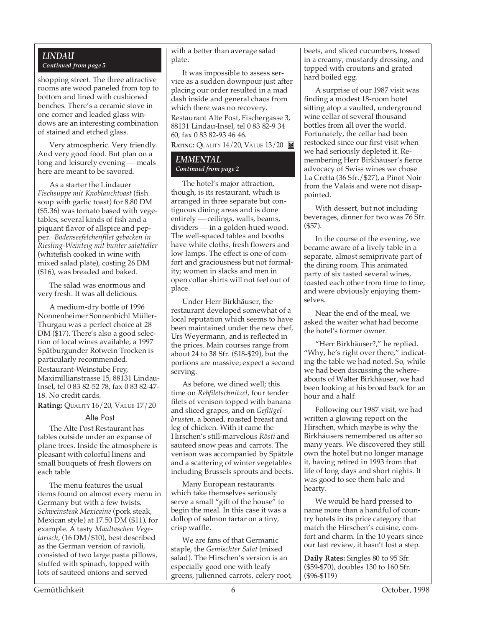# *LINDAU Continued from page 5*

shopping street. The three attractive rooms are wood paneled from top to bottom and lined with cushioned benches. There's a ceramic stove in one corner and leaded glass windows are an interesting combination of stained and etched glass.

Very atmospheric. Very friendly. And very good food. But plan on a long and leisurely evening — meals here are meant to be savored.

As a starter the Lindauer *Fischsuppe mit Knoblauchtoast* (fish soup with garlic toast) for 8.80 DM (\$5.36) was tomato based with vegetables, several kinds of fish and a piquant flavor of allspice and pepper. *Bodenseefelchenfilet gebacken in Riesling-Weinteig mit bunter salatteller* (whitefish cooked in wine with mixed salad plate), costing 26 DM (\$16), was breaded and baked.

The salad was enormous and very fresh. It was all delicious.

A medium-dry bottle of 1996 Nonnenheimer Sonnenbichl Müller-Thurgau was a perfect choice at 28 DM (\$17). There's also a good selection of local wines available, a 1997 Spätburgunder Rotwein Trocken is particularly recommended. Restaurant-Weinstube Frey, Maximillianstrasse 15, 88131 Lindau-Insel, tel 0 83 82-52 78, fax 0 83 82-47- 18. No credit cards.

**Rating:** QUALITY 16/20, VALUE 17/20

#### Alte Post

The Alte Post Restaurant has tables outside under an expanse of plane trees. Inside the atmosphere is pleasant with colorful linens and small bouquets of fresh flowers on each table

The menu features the usual items found on almost every menu in Germany but with a few twists. *Schweinsteak Mexicaine* (pork steak, Mexican style) at 17.50 DM (\$11), for example. A tasty *Maultaschen Vegetarisch*, (16 DM/\$10), best described as the German version of ravioli, consisted of two large pasta pillows, stuffed with spinach, topped with lots of sauteed onions and served

with a better than average salad plate.

It was impossible to assess service as a sudden downpour just after placing our order resulted in a mad dash inside and general chaos from which there was no recovery. Restaurant Alte Post, Fischergasse 3, 88131 Lindau-Insel, tel 0 83 82-9 34 60, fax 0 83 82-93 46 46.

**RATING: QUALITY 14/20, VALUE 13/20** 

# *EMMENTAL Continued from page 2*

The hotel's major attraction, though, is its restaurant, which is arranged in three separate but contiguous dining areas and is done entirely — ceilings, walls, beams, dividers — in a golden-hued wood. The well-spaced tables and booths have white cloths, fresh flowers and low lamps. The effect is one of comfort and graciousness but not formality; women in slacks and men in open collar shirts will not feel out of place.

Under Herr Birkhäuser, the restaurant developed somewhat of a local reputation which seems to have been maintained under the new chef, Urs Weyermann, and is reflected in the prices. Main courses range from about 24 to 38 Sfr. (\$18-\$29), but the portions are massive; expect a second serving.

As before, we dined well; this time on *Rehfiletschnitzel*, four tender filets of venison topped with banana and sliced grapes, and on *Geflügelbrusten*, a boned, roasted breast and leg of chicken. With it came the Hirschen's still-marvelous *Rösti* and sauteed snow peas and carrots. The venison was accompanied by Spätzle and a scattering of winter vegetables including Brussels sprouts and beets.

Many European restaurants which take themselves seriously serve a small "gift of the house" to begin the meal. In this case it was a dollop of salmon tartar on a tiny, crisp waffle.

We are fans of that Germanic staple, the *Gemischter Salat* (mixed salad). The Hirschen's version is an especially good one with leafy greens, julienned carrots, celery root, beets, and sliced cucumbers, tossed in a creamy, mustardy dressing, and topped with croutons and grated hard boiled egg.

A surprise of our 1987 visit was finding a modest 18-room hotel sitting atop a vaulted, underground wine cellar of several thousand bottles from all over the world. Fortunately, the cellar had been restocked since our first visit when we had seriously depleted it. Remembering Herr Birkhäuser's fierce advocacy of Swiss wines we chose La Cretta (36 Sfr./\$27), a Pinot Noir from the Valais and were not disappointed.

With dessert, but not including beverages, dinner for two was 76 Sfr. (\$57).

In the course of the evening, we became aware of a lively table in a separate, almost semiprivate part of the dining room. This animated party of six tasted several wines, toasted each other from time to time, and were obviously enjoying themselves.

Near the end of the meal, we asked the waiter what had become the hotel's former owner.

"Herr Birkhäuser?," he replied. "Why, he's right over there," indicating the table we had noted. So, while we had been discussing the whereabouts of Walter Birkhäuser, we had been looking at his broad back for an hour and a half.

Following our 1987 visit, we had written a glowing report on the Hirschen, which maybe is why the Birkhäusers remembered us after so many years. We discovered they still own the hotel but no longer manage it, having retired in 1993 from that life of long days and short nights. It was good to see them hale and hearty.

We would be hard pressed to name more than a handful of country hotels in its price category that match the Hirschen's cuisine, comfort and charm. In the 10 years since our last review, it hasn't lost a step.

**Daily Rates:** Singles 80 to 95 Sfr. (\$59-\$70), doubles 130 to 160 Sfr. (\$96-\$119)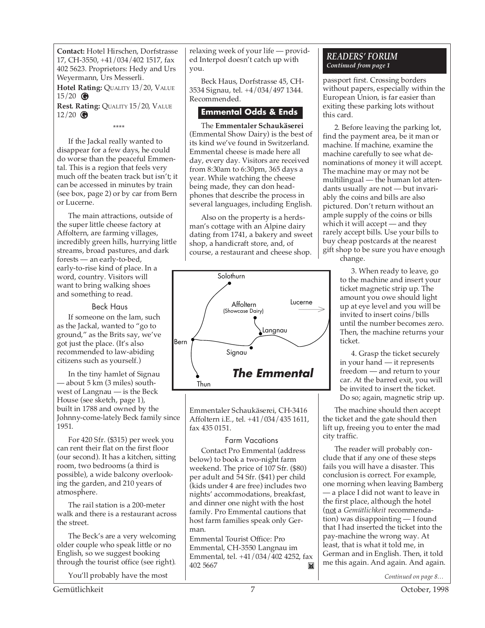**Contact:** Hotel Hirschen, Dorfstrasse 17, CH-3550, +41/034/402 1517, fax 402 5623. Proprietors: Hedy and Urs Weyermann, Urs Messerli. **Hotel Rating: QUALITY 13/20, VALUE** 

15/20 **G Rest. Rating:** QUALITY 15/20, VALUE 12/20 **G**

\*\*\*\*

If the Jackal really wanted to disappear for a few days, he could do worse than the peaceful Emmental. This is a region that feels very much off the beaten track but isn't; it can be accessed in minutes by train (see box, page 2) or by car from Bern or Lucerne.

The main attractions, outside of the super little cheese factory at Affoltern, are farming villages, incredibly green hills, hurrying little streams, broad pastures, and dark forests — an early-to-bed, early-to-rise kind of place. In a word, country. Visitors will want to bring walking shoes and something to read.

## Beck Haus

If someone on the lam, such as the Jackal, wanted to "go to ground," as the Brits say, we've got just the place. (It's also recommended to law-abiding citizens such as yourself.)

In the tiny hamlet of Signau — about 5 km (3 miles) southwest of Langnau — is the Beck House (see sketch, page 1), built in 1788 and owned by the Johnny-come-lately Beck family since 1951.

For 420 Sfr. (\$315) per week you can rent their flat on the first floor (our second). It has a kitchen, sitting room, two bedrooms (a third is possible), a wide balcony overlooking the garden, and 210 years of atmosphere.

The rail station is a 200-meter walk and there is a restaurant across the street.

The Beck's are a very welcoming older couple who speak little or no English, so we suggest booking through the tourist office (see right).

You'll probably have the most

relaxing week of your life — provided Interpol doesn't catch up with you.

Beck Haus, Dorfstrasse 45, CH-3534 Signau, tel. +4/034/497 1344. Recommended.

# **Emmental Odds & Ends**

The **Emmentaler Schaukäserei** (Emmental Show Dairy) is the best of its kind we've found in Switzerland. Emmental cheese is made here all day, every day. Visitors are received from 8:30am to 6:30pm, 365 days a year. While watching the cheese being made, they can don headphones that describe the process in several languages, including English.

Also on the property is a herdsman's cottage with an Alpine dairy dating from 1741, a bakery and sweet shop, a handicraft store, and, of course, a restaurant and cheese shop.



Emmentaler Schaukäserei, CH-3416 Affoltern i.E., tel. +41/034/435 1611, fax 435 0151.

# Farm Vacations

Contact Pro Emmental (address below) to book a two-night farm weekend. The price of 107 Sfr. (\$80) per adult and 54 Sfr. (\$41) per child (kids under 4 are free) includes two nights' accommodations, breakfast, and dinner one night with the host family. Pro Emmental cautions that host farm families speak only German.

Emmental Tourist Office: Pro Emmental, CH-3550 Langnau im Emmental, tel. +41/034/402 4252, fax 402 5667 Ħ

# *READERS' FORUM Continued from page 1*

passport first. Crossing borders without papers, especially within the European Union, is far easier than exiting these parking lots without this card.

2. Before leaving the parking lot, find the payment area, be it man or machine. If machine, examine the machine carefully to see what denominations of money it will accept. The machine may or may not be multilingual — the human lot attendants usually are not — but invariably the coins and bills are also pictured. Don't return without an ample supply of the coins or bills which it will accept — and they rarely accept bills. Use your bills to buy cheap postcards at the nearest gift shop to be sure you have enough

change.

3. When ready to leave, go to the machine and insert your ticket magnetic strip up. The amount you owe should light up at eye level and you will be invited to insert coins/bills until the number becomes zero. Then, the machine returns your ticket.

4. Grasp the ticket securely in your hand — it represents freedom — and return to your car. At the barred exit, you will be invited to insert the ticket. Do so; again, magnetic strip up.

The machine should then accept the ticket and the gate should then lift up, freeing you to enter the mad city traffic.

The reader will probably conclude that if any one of these steps fails you will have a disaster. This conclusion is correct. For example, one morning when leaving Bamberg — a place I did not want to leave in the first place, although the hotel (not a *Gemütlichkeit* recommendation) was disappointing — I found that I had inserted the ticket into the pay-machine the wrong way. At least, that is what it told me, in German and in English. Then, it told me this again. And again. And again.

*Continued on page 8…*